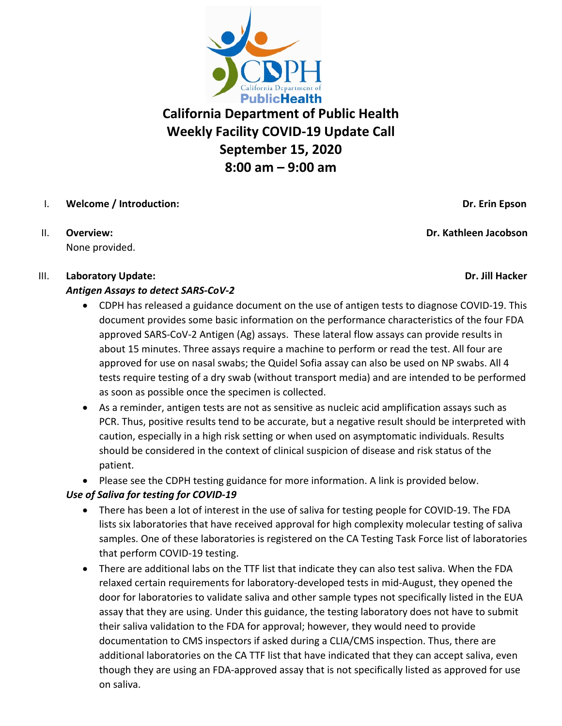

# **California Department of Public Health Weekly Facility COVID-19 Update Call September 15, 2020 8:00 am – 9:00 am**

# I. **Welcome / Introduction: Dr. Erin Epson**

II. **Overview: Dr. Kathleen Jacobson** None provided.

### III. **Laboratory Update: Dr. Jill Hacker**

### *Antigen Assays to detect SARS-CoV-2*

- CDPH has released a guidance document on the use of antigen tests to diagnose COVID-19. This document provides some basic information on the performance characteristics of the four FDA approved SARS-CoV-2 Antigen (Ag) assays. These lateral flow assays can provide results in about 15 minutes. Three assays require a machine to perform or read the test. All four are approved for use on nasal swabs; the Quidel Sofia assay can also be used on NP swabs. All 4 tests require testing of a dry swab (without transport media) and are intended to be performed as soon as possible once the specimen is collected.
- As a reminder, antigen tests are not as sensitive as nucleic acid amplification assays such as PCR. Thus, positive results tend to be accurate, but a negative result should be interpreted with caution, especially in a high risk setting or when used on asymptomatic individuals. Results should be considered in the context of clinical suspicion of disease and risk status of the patient.
- Please see the CDPH testing guidance for more information. A link is provided below.

# *Use of Saliva for testing for COVID-19*

- There has been a lot of interest in the use of saliva for testing people for COVID-19. The FDA lists six laboratories that have received approval for high complexity molecular testing of saliva samples. One of these laboratories is registered on the CA Testing Task Force list of laboratories that perform COVID-19 testing.
- There are additional labs on the TTF list that indicate they can also test saliva. When the FDA relaxed certain requirements for laboratory-developed tests in mid-August, they opened the door for laboratories to validate saliva and other sample types not specifically listed in the EUA assay that they are using. Under this guidance, the testing laboratory does not have to submit their saliva validation to the FDA for approval; however, they would need to provide documentation to CMS inspectors if asked during a CLIA/CMS inspection. Thus, there are additional laboratories on the CA TTF list that have indicated that they can accept saliva, even though they are using an FDA-approved assay that is not specifically listed as approved for use on saliva.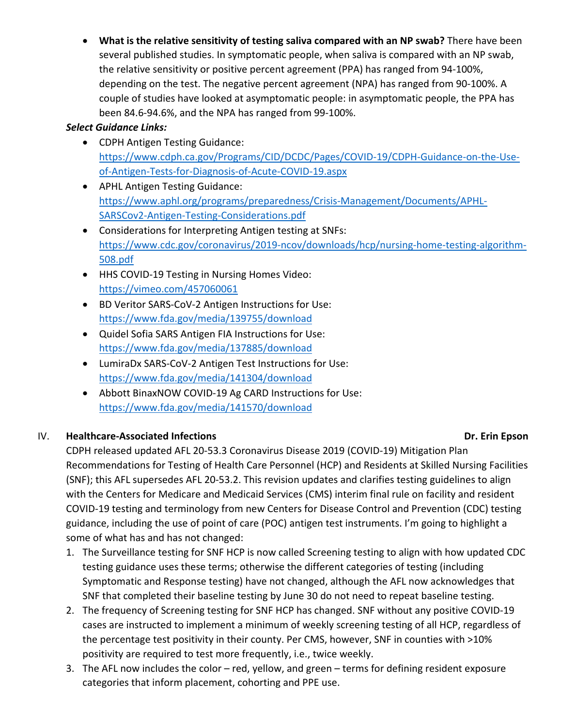• **What is the relative sensitivity of testing saliva compared with an NP swab?** There have been several published studies. In symptomatic people, when saliva is compared with an NP swab, the relative sensitivity or positive percent agreement (PPA) has ranged from 94-100%, depending on the test. The negative percent agreement (NPA) has ranged from 90-100%. A couple of studies have looked at asymptomatic people: in asymptomatic people, the PPA has been 84.6-94.6%, and the NPA has ranged from 99-100%.

#### *Select Guidance Links:*

- CDPH Antigen Testing Guidance: [https://www.cdph.ca.gov/Programs/CID/DCDC/Pages/COVID-19/CDPH-Guidance-on-the-Use](https://www.cdph.ca.gov/Programs/CID/DCDC/Pages/COVID-19/CDPH-Guidance-on-the-Use-of-Antigen-Tests-for-Diagnosis-of-Acute-COVID-19.aspx)[of-Antigen-Tests-for-Diagnosis-of-Acute-COVID-19.aspx](https://www.cdph.ca.gov/Programs/CID/DCDC/Pages/COVID-19/CDPH-Guidance-on-the-Use-of-Antigen-Tests-for-Diagnosis-of-Acute-COVID-19.aspx)
- APHL Antigen Testing Guidance: [https://www.aphl.org/programs/preparedness/Crisis-Management/Documents/APHL-](https://www.aphl.org/programs/preparedness/Crisis-Management/Documents/APHL-SARSCov2-Antigen-Testing-Considerations.pdf)[SARSCov2-Antigen-Testing-Considerations.pdf](https://www.aphl.org/programs/preparedness/Crisis-Management/Documents/APHL-SARSCov2-Antigen-Testing-Considerations.pdf)
- Considerations for Interpreting Antigen testing at SNFs: [https://www.cdc.gov/coronavirus/2019-ncov/downloads/hcp/nursing-home-testing-algorithm-](https://www.cdc.gov/coronavirus/2019-ncov/downloads/hcp/nursing-home-testing-algorithm-508.pdf)[508.pdf](https://www.cdc.gov/coronavirus/2019-ncov/downloads/hcp/nursing-home-testing-algorithm-508.pdf)
- HHS COVID-19 Testing in Nursing Homes Video: <https://vimeo.com/457060061>
- BD Veritor SARS-CoV-2 Antigen Instructions for Use: <https://www.fda.gov/media/139755/download>
- Quidel Sofia SARS Antigen FIA Instructions for Use: <https://www.fda.gov/media/137885/download>
- LumiraDx SARS-CoV-2 Antigen Test Instructions for Use: <https://www.fda.gov/media/141304/download>
- Abbott BinaxNOW COVID-19 Ag CARD Instructions for Use: <https://www.fda.gov/media/141570/download>

# IV. **Healthcare-Associated Infections Dr. Erin Epson**

# CDPH released updated AFL 20-53.3 Coronavirus Disease 2019 (COVID-19) Mitigation Plan Recommendations for Testing of Health Care Personnel (HCP) and Residents at Skilled Nursing Facilities (SNF); this AFL supersedes AFL 20-53.2. This revision updates and clarifies testing guidelines to align with the Centers for Medicare and Medicaid Services (CMS) interim final rule on facility and resident COVID-19 testing and terminology from new Centers for Disease Control and Prevention (CDC) testing guidance, including the use of point of care (POC) antigen test instruments. I'm going to highlight a

some of what has and has not changed:

- 1. The Surveillance testing for SNF HCP is now called Screening testing to align with how updated CDC testing guidance uses these terms; otherwise the different categories of testing (including Symptomatic and Response testing) have not changed, although the AFL now acknowledges that SNF that completed their baseline testing by June 30 do not need to repeat baseline testing.
- 2. The frequency of Screening testing for SNF HCP has changed. SNF without any positive COVID-19 cases are instructed to implement a minimum of weekly screening testing of all HCP, regardless of the percentage test positivity in their county. Per CMS, however, SNF in counties with >10% positivity are required to test more frequently, i.e., twice weekly.
- 3. The AFL now includes the color red, yellow, and green terms for defining resident exposure categories that inform placement, cohorting and PPE use.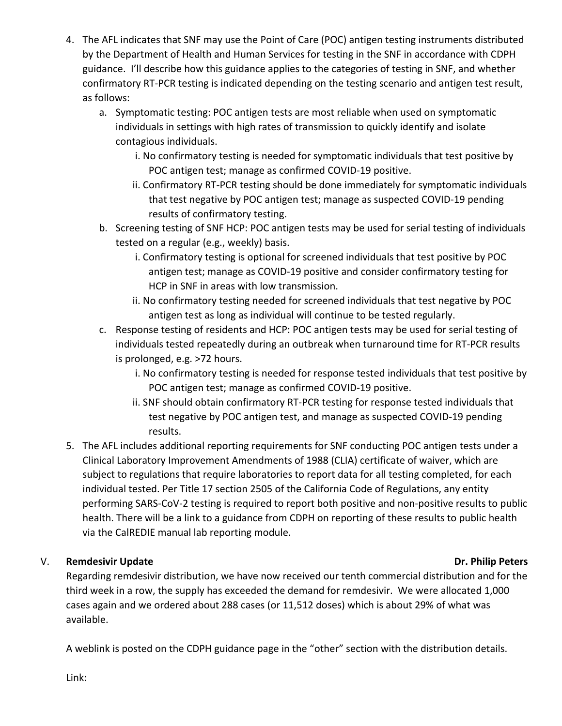- 4. The AFL indicates that SNF may use the Point of Care (POC) antigen testing instruments distributed by the Department of Health and Human Services for testing in the SNF in accordance with CDPH guidance. I'll describe how this guidance applies to the categories of testing in SNF, and whether confirmatory RT-PCR testing is indicated depending on the testing scenario and antigen test result, as follows:
	- a. Symptomatic testing: POC antigen tests are most reliable when used on symptomatic individuals in settings with high rates of transmission to quickly identify and isolate contagious individuals.
		- i. No confirmatory testing is needed for symptomatic individuals that test positive by POC antigen test; manage as confirmed COVID-19 positive.
		- ii. Confirmatory RT-PCR testing should be done immediately for symptomatic individuals that test negative by POC antigen test; manage as suspected COVID-19 pending results of confirmatory testing.
	- b. Screening testing of SNF HCP: POC antigen tests may be used for serial testing of individuals tested on a regular (e.g., weekly) basis.
		- i. Confirmatory testing is optional for screened individuals that test positive by POC antigen test; manage as COVID-19 positive and consider confirmatory testing for HCP in SNF in areas with low transmission.
		- ii. No confirmatory testing needed for screened individuals that test negative by POC antigen test as long as individual will continue to be tested regularly.
	- c. Response testing of residents and HCP: POC antigen tests may be used for serial testing of individuals tested repeatedly during an outbreak when turnaround time for RT-PCR results is prolonged, e.g. >72 hours.
		- i. No confirmatory testing is needed for response tested individuals that test positive by POC antigen test; manage as confirmed COVID-19 positive.
		- ii. SNF should obtain confirmatory RT-PCR testing for response tested individuals that test negative by POC antigen test, and manage as suspected COVID-19 pending results.
- 5. The AFL includes additional reporting requirements for SNF conducting POC antigen tests under a Clinical Laboratory Improvement Amendments of 1988 (CLIA) certificate of waiver, which are subject to regulations that require laboratories to report data for all testing completed, for each individual tested. Per Title 17 section 2505 of the California Code of Regulations, any entity performing SARS-CoV-2 testing is required to report both positive and non-positive results to public health. There will be a link to a guidance from CDPH on reporting of these results to public health via the CalREDIE manual lab reporting module.

# V. **Remdesivir Update Areas and Structure Critics** and Dr. Philip Peters and Dr. Philip Peters

Regarding remdesivir distribution, we have now received our tenth commercial distribution and for the third week in a row, the supply has exceeded the demand for remdesivir. We were allocated 1,000 cases again and we ordered about 288 cases (or 11,512 doses) which is about 29% of what was available.

A weblink is posted on the CDPH guidance page in the "other" section with the distribution details.

Link: